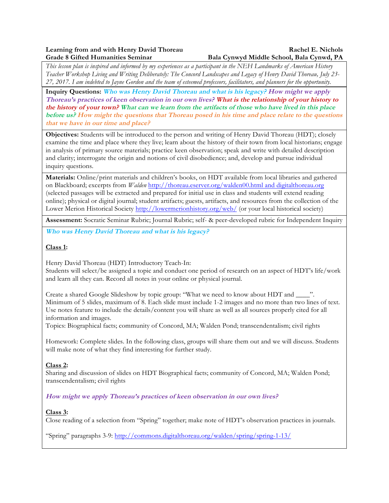# **Learning from and with Henry David Thoreau Rachel E. Nichols** Rachel E. Nichols

# **Grade 8 Gifted Humanities Seminar Bala Cynwyd Middle School, Bala Cynwd, PA**

*This lesson plan is inspired and informed by my experiences as a participant in the NEH Landmarks of American History Teacher Workshop Living and Writing Deliberately: The Concord Landscapes and Legacy of Henry David Thoreau, July 23- 27, 2017. I am indebted to Jayne Gordon and the team of esteemed professors, facilitators, and planners for the opportunity.*

**Inquiry Questions: Who was Henry David Thoreau and what is his legacy? How might we apply Thoreau's practices of keen observation in our own lives? What is the relationship of your history to the history of your town? What can we learn from the artifacts of those who have lived in this place before us? How might the questions that Thoreau posed in his time and place relate to the questions that we have in our time and place?**

**Objectives:** Students will be introduced to the person and writing of Henry David Thoreau (HDT); closely examine the time and place where they live; learn about the history of their town from local historians; engage in analysis of primary source materials; practice keen observation; speak and write with detailed description and clarity; interrogate the origin and notions of civil disobedience; and, develop and pursue individual inquiry questions.

**Materials:** Online/print materials and children's books, on HDT available from local libraries and gathered on Blackboard; excerpts from *Walden* http://thoreau.eserver.org/walden00.html and digitalthoreau.org (selected passages will be extracted and prepared for initial use in class and students will extend reading online); physical or digital journal; student artifacts; guests, artifacts, and resources from the collection of the Lower Merion Historical Society http://lowermerionhistory.org/web/ (or your local historical society)

**Assessment:** Socratic Seminar Rubric; Journal Rubric; self- & peer-developed rubric for Independent Inquiry

**Who was Henry David Thoreau and what is his legacy?**

#### **Class 1:**

Henry David Thoreau (HDT) Introductory Teach-In:

Students will select/be assigned a topic and conduct one period of research on an aspect of HDT's life/work and learn all they can. Record all notes in your online or physical journal.

Create a shared Google Slideshow by topic group: "What we need to know about HDT and \_\_\_\_". Minimum of 5 slides, maximum of 8. Each slide must include 1-2 images and no more than two lines of text. Use notes feature to include the details/content you will share as well as all sources properly cited for all information and images.

Topics: Biographical facts; community of Concord, MA; Walden Pond; transcendentalism; civil rights

Homework: Complete slides. In the following class, groups will share them out and we will discuss. Students will make note of what they find interesting for further study.

#### **Class 2:**

Sharing and discussion of slides on HDT Biographical facts; community of Concord, MA; Walden Pond; transcendentalism; civil rights

#### **How might we apply Thoreau's practices of keen observation in our own lives?**

#### **Class 3:**

Close reading of a selection from "Spring" together; make note of HDT's observation practices in journals.

"Spring" paragraphs 3-9: http://commons.digitalthoreau.org/walden/spring/spring-1-13/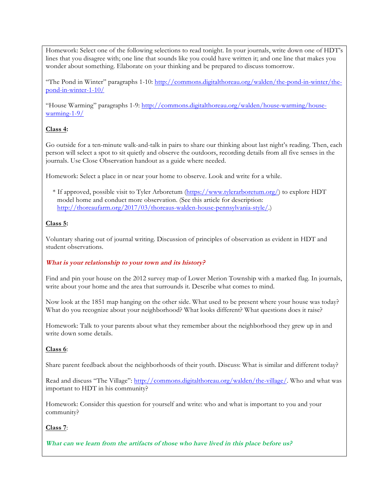Homework: Select one of the following selections to read tonight. In your journals, write down one of HDT's lines that you disagree with; one line that sounds like you could have written it; and one line that makes you wonder about something. Elaborate on your thinking and be prepared to discuss tomorrow.

"The Pond in Winter" paragraphs 1-10: http://commons.digitalthoreau.org/walden/the-pond-in-winter/thepond-in-winter-1-10/

"House Warming" paragraphs 1-9: http://commons.digitalthoreau.org/walden/house-warming/housewarming-1-9/

#### **Class 4:**

Go outside for a ten-minute walk-and-talk in pairs to share our thinking about last night's reading. Then, each person will select a spot to sit quietly and observe the outdoors, recording details from all five senses in the journals. Use Close Observation handout as a guide where needed.

Homework: Select a place in or near your home to observe. Look and write for a while.

 \* If approved, possible visit to Tyler Arboretum (https://www.tylerarboretum.org/) to explore HDT model home and conduct more observation. (See this article for description: http://thoreaufarm.org/2017/03/thoreaus-walden-house-pennsylvania-style/.)

#### **Class 5:**

Voluntary sharing out of journal writing. Discussion of principles of observation as evident in HDT and student observations.

#### **What is your relationship to your town and its history?**

Find and pin your house on the 2012 survey map of Lower Merion Township with a marked flag. In journals, write about your home and the area that surrounds it. Describe what comes to mind.

Now look at the 1851 map hanging on the other side. What used to be present where your house was today? What do you recognize about your neighborhood? What looks different? What questions does it raise?

Homework: Talk to your parents about what they remember about the neighborhood they grew up in and write down some details.

#### **Class 6**:

Share parent feedback about the neighborhoods of their youth. Discuss: What is similar and different today?

Read and discuss "The Village": http://commons.digitalthoreau.org/walden/the-village/. Who and what was important to HDT in his community?

Homework: Consider this question for yourself and write: who and what is important to you and your community?

#### **Class 7**:

**What can we learn from the artifacts of those who have lived in this place before us?**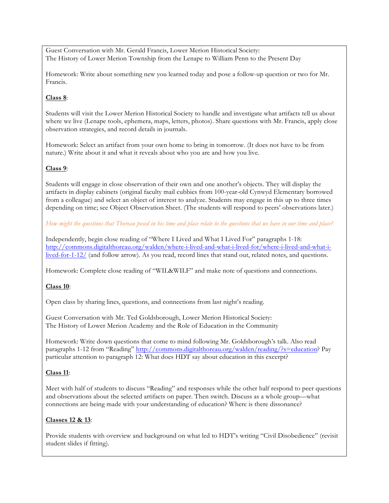Guest Conversation with Mr. Gerald Francis, Lower Merion Historical Society: The History of Lower Merion Township from the Lenape to William Penn to the Present Day

Homework: Write about something new you learned today and pose a follow-up question or two for Mr. Francis.

#### **Class 8**:

Students will visit the Lower Merion Historical Society to handle and investigate what artifacts tell us about where we live (Lenape tools, ephemera, maps, letters, photos). Share questions with Mr. Francis, apply close observation strategies, and record details in journals.

Homework: Select an artifact from your own home to bring in tomorrow. (It does not have to be from nature.) Write about it and what it reveals about who you are and how you live.

#### **Class 9**:

Students will engage in close observation of their own and one another's objects. They will display the artifacts in display cabinets (original faculty mail cubbies from 100-year-old Cynwyd Elementary borrowed from a colleague) and select an object of interest to analyze. Students may engage in this up to three times depending on time; see Object Observation Sheet. (The students will respond to peers' observations later.)

*How might the questions that Thoreau posed in his time and place relate to the questions that we have in our time and place?*

Independently, begin close reading of "Where I Lived and What I Lived For" paragraphs 1-18: http://commons.digitalthoreau.org/walden/where-i-lived-and-what-i-lived-for/where-i-lived-and-what-ilived-for-1-12/ (and follow arrow). As you read, record lines that stand out, related notes, and questions.

Homework: Complete close reading of "WIL&WILF" and make note of questions and connections.

#### **Class 10**:

Open class by sharing lines, questions, and connections from last night's reading.

Guest Conversation with Mr. Ted Goldsborough, Lower Merion Historical Society: The History of Lower Merion Academy and the Role of Education in the Community

Homework: Write down questions that come to mind following Mr. Goldsborough's talk. Also read paragraphs 1-12 from "Reading" http://commons.digitalthoreau.org/walden/reading/?s=education? Pay particular attention to paragraph 12: What does HDT say about education in this excerpt?

#### **Class 11**:

Meet with half of students to discuss "Reading" and responses while the other half respond to peer questions and observations about the selected artifacts on paper. Then switch. Discuss as a whole group—what connections are being made with your understanding of education? Where is there dissonance?

#### **Classes 12 & 13**:

Provide students with overview and background on what led to HDT's writing "Civil Disobedience" (revisit student slides if fitting).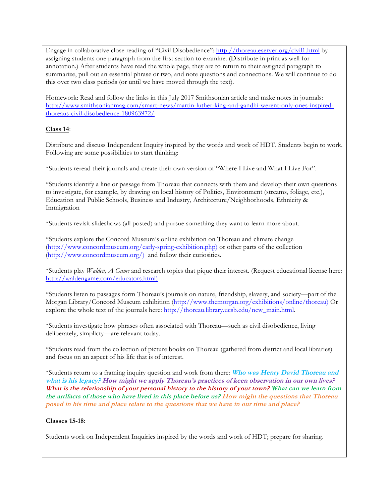Engage in collaborative close reading of "Civil Disobedience": http://thoreau.eserver.org/civil1.html by assigning students one paragraph from the first section to examine. (Distribute in print as well for annotation.) After students have read the whole page, they are to return to their assigned paragraph to summarize, pull out an essential phrase or two, and note questions and connections. We will continue to do this over two class periods (or until we have moved through the text).

Homework: Read and follow the links in this July 2017 Smithsonian article and make notes in journals: http://www.smithsonianmag.com/smart-news/martin-luther-king-and-gandhi-werent-only-ones-inspiredthoreaus-civil-disobedience-180963972/

#### **Class 14**:

Distribute and discuss Independent Inquiry inspired by the words and work of HDT. Students begin to work. Following are some possibilities to start thinking:

\*Students reread their journals and create their own version of "Where I Live and What I Live For".

\*Students identify a line or passage from Thoreau that connects with them and develop their own questions to investigate, for example, by drawing on local history of Politics, Environment (streams, foliage, etc.), Education and Public Schools, Business and Industry, Architecture/Neighborhoods, Ethnicity & Immigration

\*Students revisit slideshows (all posted) and pursue something they want to learn more about.

\*Students explore the Concord Museum's online exhibition on Thoreau and climate change (http://www.concordmuseum.org/early-spring-exhibition.php) or other parts of the collection (http://www.concordmuseum.org/) and follow their curiosities.

\*Students play *Walden, A Game* and research topics that pique their interest. (Request educational license here: http://waldengame.com/educators.html)

\*Students listen to passages form Thoreau's journals on nature, friendship, slavery, and society—part of the Morgan Library/Concord Museum exhibition (http://www.themorgan.org/exhibitions/online/thoreau) Or explore the whole text of the journals here: http://thoreau.library.ucsb.edu/new\_main.html.

\*Students investigate how phrases often associated with Thoreau—such as civil disobedience, living deliberately, simplicty—are relevant today.

\*Students read from the collection of picture books on Thoreau (gathered from district and local libraries) and focus on an aspect of his life that is of interest.

\*Students return to a framing inquiry question and work from there: **Who was Henry David Thoreau and what is his legacy? How might we apply Thoreau's practices of keen observation in our own lives? What is the relationship of your personal history to the history of your town? What can we learn from the artifacts of those who have lived in this place before us? How might the questions that Thoreau posed in his time and place relate to the questions that we have in our time and place?**

#### **Classes 15-18**:

Students work on Independent Inquiries inspired by the words and work of HDT; prepare for sharing.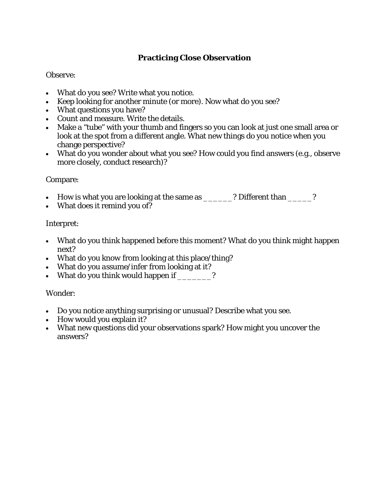## **Practicing Close Observation**

### Observe:

- What do you see? Write what you notice.
- Keep looking for another minute (or more). Now what do you see?
- What questions you have?
- Count and measure. Write the details.
- Make a "tube" with your thumb and fingers so you can look at just one small area or look at the spot from a different angle. What new things do you notice when you change perspective?
- What do you wonder about what you see? How could you find answers (e.g., observe more closely, conduct research)?

### Compare:

- How is what you are looking at the same as  $\frac{1}{\sqrt{2}}$  Different than  $\frac{1}{\sqrt{2}}$ ?
- What does it remind you of?

### Interpret:

- What do you think happened before this moment? What do you think might happen next?
- What do you *know* from looking at this place/thing?
- What do you *assume/infer* from looking at it?
- What do you think would happen if \_\_\_\_\_\_\_?

### Wonder:

- Do you notice anything surprising or unusual? Describe what you see.
- How would you explain it?
- What new questions did your observations spark? How might you uncover the answers?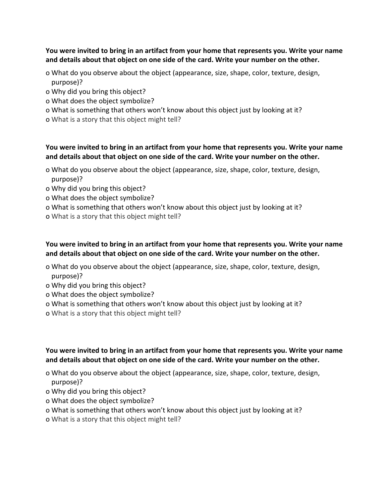#### **You were invited to bring in an artifact from your home that represents you. Write your name** and details about that object on one side of the card. Write your number on the other.

- o What do you observe about the object (appearance, size, shape, color, texture, design, purpose)?
- o Why did you bring this object?
- o What does the object symbolize?
- o What is something that others won't know about this object just by looking at it?
- o What is a story that this object might tell?

#### **You were invited to bring in an artifact from your home that represents you. Write your name** and details about that object on one side of the card. Write your number on the other.

- o What do you observe about the object (appearance, size, shape, color, texture, design, purpose)?
- o Why did you bring this object?
- o What does the object symbolize?
- o What is something that others won't know about this object just by looking at it?
- o What is a story that this object might tell?

### **You were invited to bring in an artifact from your home that represents you. Write your name** and details about that object on one side of the card. Write your number on the other.

- o What do you observe about the object (appearance, size, shape, color, texture, design, purpose)?
- o Why did you bring this object?
- o What does the object symbolize?
- o What is something that others won't know about this object just by looking at it?
- o What is a story that this object might tell?

### **You were invited to bring in an artifact from your home that represents you. Write your name** and details about that object on one side of the card. Write your number on the other.

- o What do you observe about the object (appearance, size, shape, color, texture, design, purpose)?
- o Why did you bring this object?
- o What does the object symbolize?
- o What is something that others won't know about this object just by looking at it?
- o What is a story that this object might tell?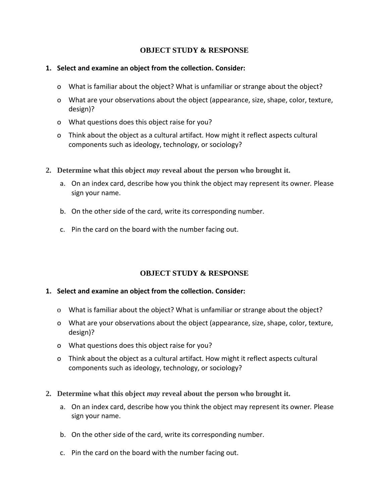#### **OBJECT STUDY & RESPONSE**

- 1. Select and examine an object from the collection. Consider:
	- o What is familiar about the object? What is unfamiliar or strange about the object?
	- o What are your observations about the object (appearance, size, shape, color, texture, design)?
	- o What questions does this object raise for you?
	- o Think about the object as a cultural artifact. How might it reflect aspects cultural components such as ideology, technology, or sociology?
- **2. Determine what this object** *may* **reveal about the person who brought it.**
	- a. On an index card, describe how you think the object may represent its owner. Please sign your name.
	- b. On the other side of the card, write its corresponding number.
	- c. Pin the card on the board with the number facing out.

#### **OBJECT STUDY & RESPONSE**

#### **1.** Select and examine an object from the collection. Consider:

- o What is familiar about the object? What is unfamiliar or strange about the object?
- o What are your observations about the object (appearance, size, shape, color, texture, design)?
- o What questions does this object raise for you?
- o Think about the object as a cultural artifact. How might it reflect aspects cultural components such as ideology, technology, or sociology?
- **2. Determine what this object** *may* **reveal about the person who brought it.**
	- a. On an index card, describe how you think the object may represent its owner. Please sign your name.
	- b. On the other side of the card, write its corresponding number.
	- c. Pin the card on the board with the number facing out.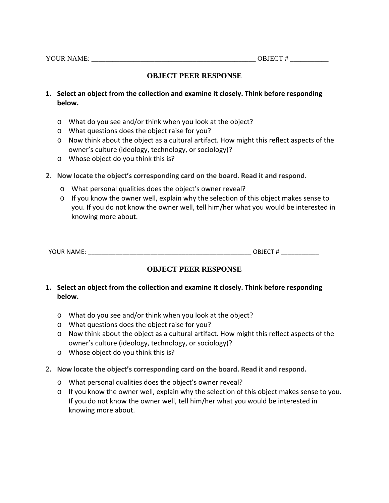### **OBJECT PEER RESPONSE**

- 1. Select an object from the collection and examine it closely. Think before responding **below.**
	- $\circ$  What do you see and/or think when you look at the object?
	- $\circ$  What questions does the object raise for you?
	- $\circ$  Now think about the object as a cultural artifact. How might this reflect aspects of the owner's culture (ideology, technology, or sociology)?
	- $\circ$  Whose object do you think this is?
- **2.** Now locate the object's corresponding card on the board. Read it and respond.
	- o What personal qualities does the object's owner reveal?
	- $\circ$  If you know the owner well, explain why the selection of this object makes sense to you. If you do not know the owner well, tell him/her what you would be interested in knowing more about.

| YOUR NAME. | ORIFCT |  |
|------------|--------|--|
|            |        |  |

### **OBJECT PEER RESPONSE**

- **1.** Select an object from the collection and examine it closely. Think before responding **below.**
	- $\circ$  What do you see and/or think when you look at the object?
	- o What questions does the object raise for you?
	- o Now think about the object as a cultural artifact. How might this reflect aspects of the owner's culture (ideology, technology, or sociology)?
	- $\circ$  Whose object do you think this is?
- 2. Now locate the object's corresponding card on the board. Read it and respond.
	- o What personal qualities does the object's owner reveal?
	- $\circ$  If you know the owner well, explain why the selection of this object makes sense to you. If you do not know the owner well, tell him/her what you would be interested in knowing more about.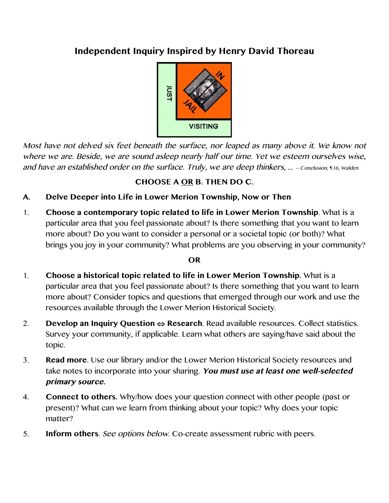# **Independent Inquiry Inspired by Henry David Thoreau**



Most have not delved six feet beneath the surface, nor leaped as many above it. We know not where we are. Beside, we are sound asleep nearly half our time. Yet we esteem ourselves wise, and have an established order on the surface. Truly, we are deep thinkers, ... - Conclusion, *¶16*, Walden

# **CHOOSE A OR B. THEN DO C.**

- **A. Delve Deeper into Life in Lower Merion Township, Now or Then**
- 1. **Choose a contemporary topic related to life in Lower Merion Township**. What is a particular area that you feel passionate about? Is there something that you want to learn more about? Do you want to consider a personal or a societal topic (or both)? What brings you joy in your community? What problems are you observing in your community?

# **OR**

- 1. **Choose a historical topic related to life in Lower Merion Township.** What is a particular area that you feel passionate about? Is there something that you want to learn more about? Consider topics and questions that emerged through our work and use the resources available through the Lower Merion Historical Society.
- 2. **Develop an Inquiry Question**  $\Leftrightarrow$  **Research**. Read available resources. Collect statistics. Survey your community, if applicable. Learn what others are saying/have said about the topic.
- 3. **Read more**. Use our library and/or the Lower Merion Historical Society resources and take notes to incorporate into your sharing. **You must use at least one well-selected primary source.**
- 4. **Connect to others.** Why/how does your question connect with other people (past or present)? What can we learn from thinking about your topic? Why does your topic matter?
- 5. **Inform others**. See options below. Co-create assessment rubric with peers.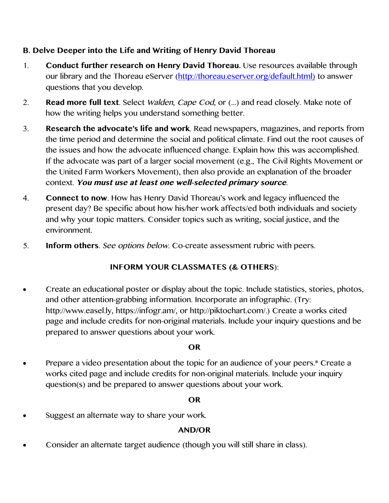# **B. Delve Deeper into the Life and Writing of Henry David Thoreau**

- 1. **Conduct further research on Henry David Thoreau.** Use resources available through our library and the Thoreau eServer (http://thoreau.eserver.org/default.html) to answer questions that you develop.
- 2. **Read more full text**. Select Walden, Cape Cod, or (…) and read closely. Make note of how the writing helps you understand something better.
- 3. **Research the advocate's life and work**. Read newspapers, magazines, and reports from the time period and determine the social and political climate. Find out the root causes of the issues and how the advocate influenced change. Explain how this was accomplished. If the advocate was part of a larger social movement (e.g., The Civil Rights Movement or the United Farm Workers Movement), then also provide an explanation of the broader context. **You must use at least one well-selected primary source**.
- 4. **Connect to now**. How has Henry David Thoreau's work and legacy influenced the present day? Be specific about how his/her work affects/ed both individuals and society and why your topic matters. Consider topics such as writing, social justice, and the environment.
- 5. **Inform others**. See options below. Co-create assessment rubric with peers.

# **INFORM YOUR CLASSMATES (& OTHERS**):

• Create an educational poster or display about the topic. Include statistics, stories, photos, and other attention-grabbing information. Incorporate an infographic. (Try: http://www.easel.ly, https://infogr.am/, or http://piktochart.com/.) Create a works cited page and include credits for non-original materials. Include your inquiry questions and be prepared to answer questions about your work.

# **OR**

• Prepare a video presentation about the topic for an audience of your peers.\* Create a works cited page and include credits for non-original materials. Include your inquiry question(s) and be prepared to answer questions about your work.

# **OR**

• Suggest an alternate way to share your work.

# **AND/OR**

• Consider an alternate target audience (though you will still share in class).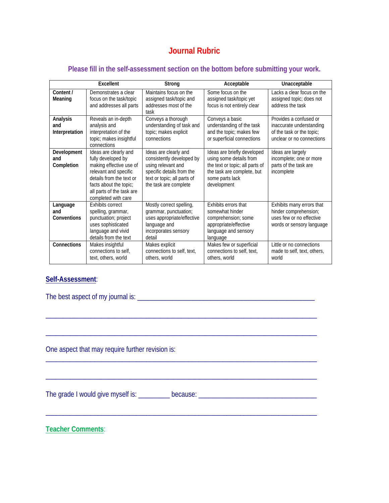# **Journal Rubric**

#### **Please fill in the self-assessment section on the bottom before submitting your work.**

|                                   | <b>Fxcellent</b>                                                                                                                                                                                          | Strong                                                                                                                                                        | Acceptable                                                                                                                                                | Unacceptable                                                                                                 |  |  |
|-----------------------------------|-----------------------------------------------------------------------------------------------------------------------------------------------------------------------------------------------------------|---------------------------------------------------------------------------------------------------------------------------------------------------------------|-----------------------------------------------------------------------------------------------------------------------------------------------------------|--------------------------------------------------------------------------------------------------------------|--|--|
| Content /<br>Meaning              | Demonstrates a clear<br>focus on the task/topic<br>and addresses all parts                                                                                                                                | Maintains focus on the<br>assigned task/topic and<br>addresses most of the<br>task                                                                            | Some focus on the<br>assigned task/topic yet<br>focus is not entirely clear                                                                               | Lacks a clear focus on the<br>assigned topic; does not<br>address the task                                   |  |  |
| Analysis<br>and<br>Interpretation | Reveals an in-depth<br>analysis and<br>interpretation of the<br>topic; makes insightful<br>connections                                                                                                    | Conveys a thorough<br>understanding of task and<br>topic; makes explicit<br>connections                                                                       | Conveys a basic<br>understanding of the task<br>and the topic; makes few<br>or superficial connections                                                    | Provides a confused or<br>inaccurate understanding<br>of the task or the topic;<br>unclear or no connections |  |  |
| Development<br>and<br>Completion  | Ideas are clearly and<br>fully developed by<br>making effective use of<br>relevant and specific<br>details from the text or<br>facts about the topic;<br>all parts of the task are<br>completed with care | Ideas are clearly and<br>consistently developed by<br>using relevant and<br>specific details from the<br>text or topic; all parts of<br>the task are complete | Ideas are briefly developed<br>using some details from<br>the text or topic; all parts of<br>the task are complete, but<br>some parts lack<br>development | Ideas are largely<br>incomplete; one or more<br>parts of the task are<br>incomplete                          |  |  |
| Language<br>and<br>Conventions    | Exhibits correct<br>spelling, grammar,<br>punctuation; project<br>uses sophisticated<br>language and vivid<br>details from the text                                                                       | Mostly correct spelling,<br>grammar, punctuation;<br>uses appropriate/effective<br>language and<br>incorporates sensory<br>detail                             | Exhibits errors that<br>somewhat hinder<br>comprehension; some<br>appropriate/effective<br>language and sensory<br>language                               | Exhibits many errors that<br>hinder comprehension;<br>uses few or no effective<br>words or sensory language  |  |  |
| Connections                       | Makes insightful<br>connections to self,<br>text, others, world                                                                                                                                           | Makes explicit<br>connections to self, text,<br>others, world                                                                                                 | Makes few or superficial<br>connections to self, text,<br>others, world                                                                                   | Little or no connections<br>made to self, text, others,<br>world                                             |  |  |

### **Self-Assessment**:

The best aspect of my journal is: \_\_\_\_\_\_\_\_\_\_\_\_\_\_\_\_\_\_\_\_\_\_\_\_\_\_\_\_\_\_\_\_\_\_\_\_\_\_\_\_\_\_\_\_\_\_\_\_\_\_\_

One aspect that may require further revision is:

The grade I would give myself is: \_\_\_\_\_\_\_\_\_\_ because: \_\_\_\_\_\_\_\_\_\_\_\_\_\_\_\_\_\_\_\_\_\_\_\_\_\_\_

\_\_\_\_\_\_\_\_\_\_\_\_\_\_\_\_\_\_\_\_\_\_\_\_\_\_\_\_\_\_\_\_\_\_\_\_\_\_\_\_\_\_\_\_\_\_\_\_\_\_\_\_\_\_\_\_\_\_\_\_\_\_\_\_\_\_\_\_\_\_\_\_\_\_\_\_\_\_

\_\_\_\_\_\_\_\_\_\_\_\_\_\_\_\_\_\_\_\_\_\_\_\_\_\_\_\_\_\_\_\_\_\_\_\_\_\_\_\_\_\_\_\_\_\_\_\_\_\_\_\_\_\_\_\_\_\_\_\_\_\_\_\_\_\_\_\_\_\_\_\_\_\_\_\_\_\_

\_\_\_\_\_\_\_\_\_\_\_\_\_\_\_\_\_\_\_\_\_\_\_\_\_\_\_\_\_\_\_\_\_\_\_\_\_\_\_\_\_\_\_\_\_\_\_\_\_\_\_\_\_\_\_\_\_\_\_\_\_\_\_\_\_\_\_\_\_\_\_\_\_\_\_\_\_\_

\_\_\_\_\_\_\_\_\_\_\_\_\_\_\_\_\_\_\_\_\_\_\_\_\_\_\_\_\_\_\_\_\_\_\_\_\_\_\_\_\_\_\_\_\_\_\_\_\_\_\_\_\_\_\_\_\_\_\_\_\_\_\_\_\_\_\_\_\_\_\_\_\_\_\_\_\_\_

**Teacher Comments**: